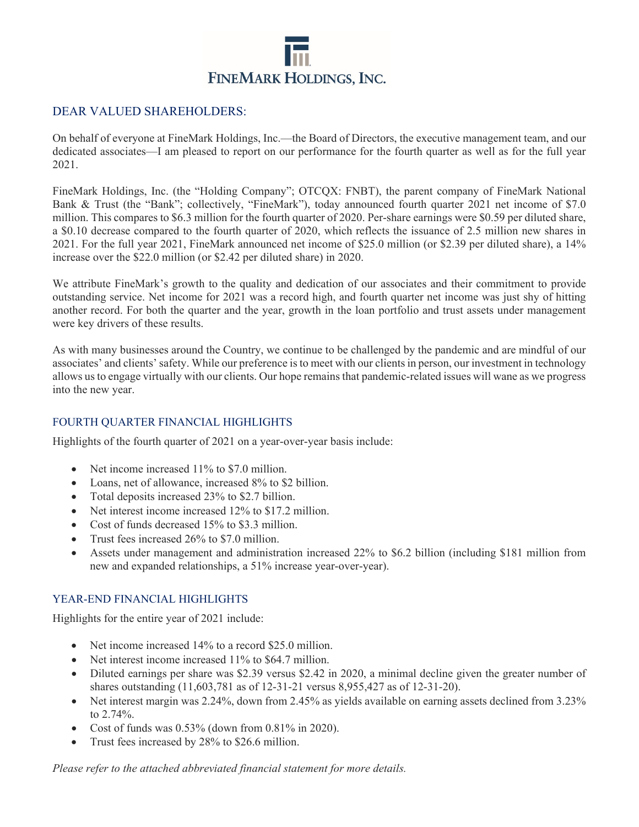

## DEAR VALUED SHAREHOLDERS:

On behalf of everyone at FineMark Holdings, Inc.—the Board of Directors, the executive management team, and our dedicated associates—I am pleased to report on our performance for the fourth quarter as well as for the full year 2021.

FineMark Holdings, Inc. (the "Holding Company"; OTCQX: FNBT), the parent company of FineMark National Bank & Trust (the "Bank"; collectively, "FineMark"), today announced fourth quarter 2021 net income of \$7.0 million. This compares to \$6.3 million for the fourth quarter of 2020. Per-share earnings were \$0.59 per diluted share, a \$0.10 decrease compared to the fourth quarter of 2020, which reflects the issuance of 2.5 million new shares in 2021. For the full year 2021, FineMark announced net income of \$25.0 million (or \$2.39 per diluted share), a 14% increase over the \$22.0 million (or \$2.42 per diluted share) in 2020.

We attribute FineMark's growth to the quality and dedication of our associates and their commitment to provide outstanding service. Net income for 2021 was a record high, and fourth quarter net income was just shy of hitting another record. For both the quarter and the year, growth in the loan portfolio and trust assets under management were key drivers of these results.

As with many businesses around the Country, we continue to be challenged by the pandemic and are mindful of our associates' and clients' safety. While our preference is to meet with our clients in person, our investment in technology allows us to engage virtually with our clients. Our hope remains that pandemic-related issues will wane as we progress into the new year.

#### FOURTH QUARTER FINANCIAL HIGHLIGHTS

Highlights of the fourth quarter of 2021 on a year-over-year basis include:

- Net income increased 11% to \$7.0 million.
- Loans, net of allowance, increased 8% to \$2 billion.
- Total deposits increased 23% to \$2.7 billion.
- Net interest income increased 12% to \$17.2 million.
- Cost of funds decreased 15% to \$3.3 million.
- Trust fees increased 26% to \$7.0 million.
- Assets under management and administration increased 22% to \$6.2 billion (including \$181 million from new and expanded relationships, a 51% increase year-over-year).

#### YEAR-END FINANCIAL HIGHLIGHTS

Highlights for the entire year of 2021 include:

- Net income increased 14% to a record \$25.0 million.
- Net interest income increased 11% to \$64.7 million.
- Diluted earnings per share was \$2.39 versus \$2.42 in 2020, a minimal decline given the greater number of shares outstanding (11,603,781 as of 12-31-21 versus 8,955,427 as of 12-31-20).
- Net interest margin was 2.24%, down from 2.45% as yields available on earning assets declined from 3.23% to 2.74%.
- Cost of funds was 0.53% (down from 0.81% in 2020).
- Trust fees increased by 28% to \$26.6 million.

*Please refer to the attached abbreviated financial statement for more details.*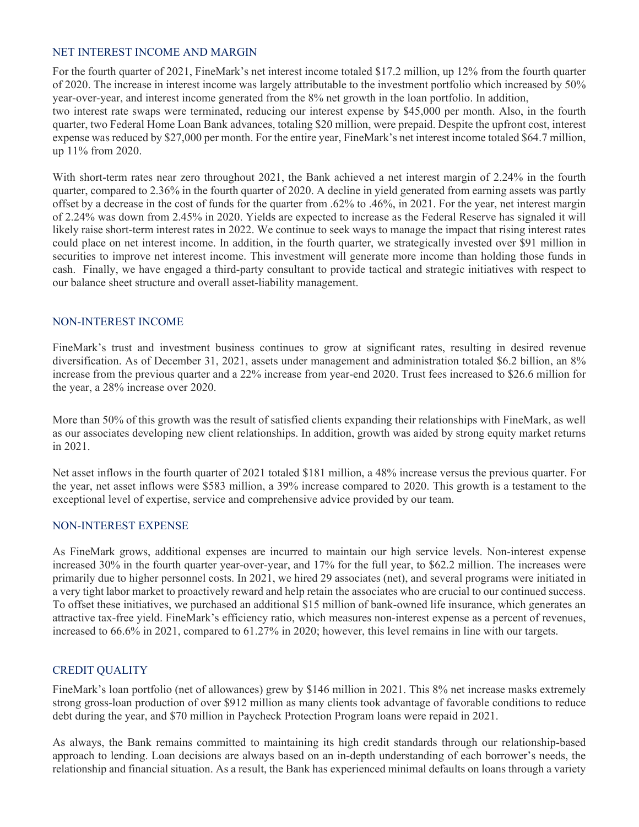#### NET INTEREST INCOME AND MARGIN

For the fourth quarter of 2021, FineMark's net interest income totaled \$17.2 million, up 12% from the fourth quarter of 2020. The increase in interest income was largely attributable to the investment portfolio which increased by 50% year-over-year, and interest income generated from the 8% net growth in the loan portfolio. In addition,

two interest rate swaps were terminated, reducing our interest expense by \$45,000 per month. Also, in the fourth quarter, two Federal Home Loan Bank advances, totaling \$20 million, were prepaid. Despite the upfront cost, interest expense was reduced by \$27,000 per month. For the entire year, FineMark's net interest income totaled \$64.7 million, up 11% from 2020.

With short-term rates near zero throughout 2021, the Bank achieved a net interest margin of 2.24% in the fourth quarter, compared to 2.36% in the fourth quarter of 2020. A decline in yield generated from earning assets was partly offset by a decrease in the cost of funds for the quarter from .62% to .46%, in 2021. For the year, net interest margin of 2.24% was down from 2.45% in 2020. Yields are expected to increase as the Federal Reserve has signaled it will likely raise short-term interest rates in 2022. We continue to seek ways to manage the impact that rising interest rates could place on net interest income. In addition, in the fourth quarter, we strategically invested over \$91 million in securities to improve net interest income. This investment will generate more income than holding those funds in cash. Finally, we have engaged a third-party consultant to provide tactical and strategic initiatives with respect to our balance sheet structure and overall asset-liability management.

#### NON-INTEREST INCOME

FineMark's trust and investment business continues to grow at significant rates, resulting in desired revenue diversification. As of December 31, 2021, assets under management and administration totaled \$6.2 billion, an 8% increase from the previous quarter and a 22% increase from year-end 2020. Trust fees increased to \$26.6 million for the year, a 28% increase over 2020.

More than 50% of this growth was the result of satisfied clients expanding their relationships with FineMark, as well as our associates developing new client relationships. In addition, growth was aided by strong equity market returns in 2021.

Net asset inflows in the fourth quarter of 2021 totaled \$181 million, a 48% increase versus the previous quarter. For the year, net asset inflows were \$583 million, a 39% increase compared to 2020. This growth is a testament to the exceptional level of expertise, service and comprehensive advice provided by our team.

#### NON-INTEREST EXPENSE

As FineMark grows, additional expenses are incurred to maintain our high service levels. Non-interest expense increased 30% in the fourth quarter year-over-year, and 17% for the full year, to \$62.2 million. The increases were primarily due to higher personnel costs. In 2021, we hired 29 associates (net), and several programs were initiated in a very tight labor market to proactively reward and help retain the associates who are crucial to our continued success. To offset these initiatives, we purchased an additional \$15 million of bank-owned life insurance, which generates an attractive tax-free yield. FineMark's efficiency ratio, which measures non-interest expense as a percent of revenues, increased to 66.6% in 2021, compared to 61.27% in 2020; however, this level remains in line with our targets.

#### CREDIT QUALITY

FineMark's loan portfolio (net of allowances) grew by \$146 million in 2021. This 8% net increase masks extremely strong gross-loan production of over \$912 million as many clients took advantage of favorable conditions to reduce debt during the year, and \$70 million in Paycheck Protection Program loans were repaid in 2021.

As always, the Bank remains committed to maintaining its high credit standards through our relationship-based approach to lending. Loan decisions are always based on an in-depth understanding of each borrower's needs, the relationship and financial situation. As a result, the Bank has experienced minimal defaults on loans through a variety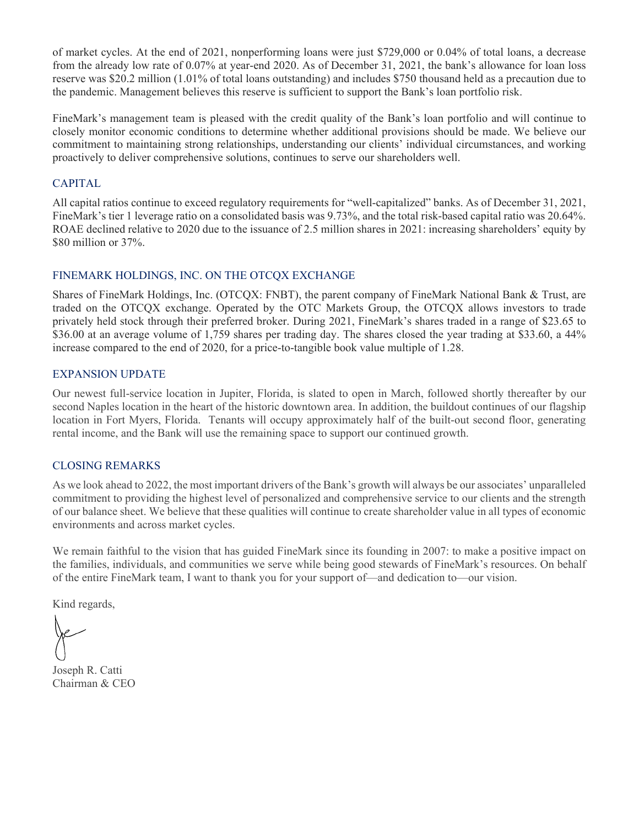of market cycles. At the end of 2021, nonperforming loans were just \$729,000 or 0.04% of total loans, a decrease from the already low rate of 0.07% at year-end 2020. As of December 31, 2021, the bank's allowance for loan loss reserve was \$20.2 million (1.01% of total loans outstanding) and includes \$750 thousand held as a precaution due to the pandemic. Management believes this reserve is sufficient to support the Bank's loan portfolio risk.

FineMark's management team is pleased with the credit quality of the Bank's loan portfolio and will continue to closely monitor economic conditions to determine whether additional provisions should be made. We believe our commitment to maintaining strong relationships, understanding our clients' individual circumstances, and working proactively to deliver comprehensive solutions, continues to serve our shareholders well.

#### CAPITAL

All capital ratios continue to exceed regulatory requirements for "well-capitalized" banks. As of December 31, 2021, FineMark's tier 1 leverage ratio on a consolidated basis was 9.73%, and the total risk-based capital ratio was 20.64%. ROAE declined relative to 2020 due to the issuance of 2.5 million shares in 2021: increasing shareholders' equity by \$80 million or 37%.

## FINEMARK HOLDINGS, INC. ON THE OTCQX EXCHANGE

Shares of FineMark Holdings, Inc. (OTCQX: FNBT), the parent company of FineMark National Bank & Trust, are traded on the OTCQX exchange. Operated by the OTC Markets Group, the OTCQX allows investors to trade privately held stock through their preferred broker. During 2021, FineMark's shares traded in a range of \$23.65 to \$36.00 at an average volume of 1,759 shares per trading day. The shares closed the year trading at \$33.60, a 44% increase compared to the end of 2020, for a price-to-tangible book value multiple of 1.28.

#### EXPANSION UPDATE

Our newest full-service location in Jupiter, Florida, is slated to open in March, followed shortly thereafter by our second Naples location in the heart of the historic downtown area. In addition, the buildout continues of our flagship location in Fort Myers, Florida. Tenants will occupy approximately half of the built-out second floor, generating rental income, and the Bank will use the remaining space to support our continued growth.

#### CLOSING REMARKS

As we look ahead to 2022, the most important drivers of the Bank's growth will always be our associates' unparalleled commitment to providing the highest level of personalized and comprehensive service to our clients and the strength of our balance sheet. We believe that these qualities will continue to create shareholder value in all types of economic environments and across market cycles.

We remain faithful to the vision that has guided FineMark since its founding in 2007: to make a positive impact on the families, individuals, and communities we serve while being good stewards of FineMark's resources. On behalf of the entire FineMark team, I want to thank you for your support of—and dedication to—our vision.

Kind regards,

Joseph R. Catti Chairman & CEO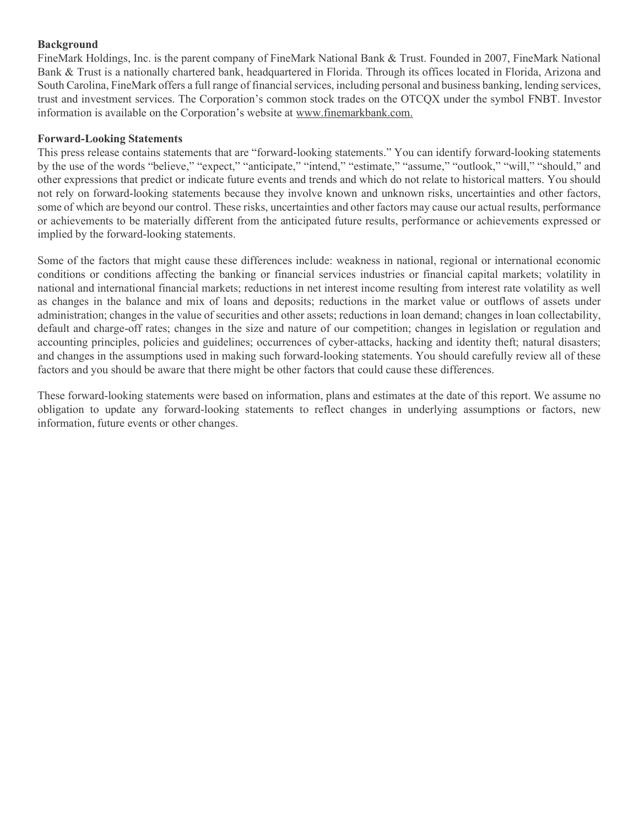#### Background

FineMark Holdings, Inc. is the parent company of FineMark National Bank & Trust. Founded in 2007, FineMark National Bank & Trust is a nationally chartered bank, headquartered in Florida. Through its offices located in Florida, Arizona and South Carolina, FineMark offers a full range of financial services, including personal and business banking, lending services, trust and investment services. The Corporation's common stock trades on the OTCQX under the symbol FNBT. Investor information is available on the Corporation's website at www.finemarkbank.com.

#### Forward-Looking Statements

This press release contains statements that are "forward-looking statements." You can identify forward-looking statements by the use of the words "believe," "expect," "anticipate," "intend," "estimate," "assume," "outlook," "will," "should," and other expressions that predict or indicate future events and trends and which do not relate to historical matters. You should not rely on forward-looking statements because they involve known and unknown risks, uncertainties and other factors, some of which are beyond our control. These risks, uncertainties and other factors may cause our actual results, performance or achievements to be materially different from the anticipated future results, performance or achievements expressed or implied by the forward-looking statements.

Some of the factors that might cause these differences include: weakness in national, regional or international economic conditions or conditions affecting the banking or financial services industries or financial capital markets; volatility in national and international financial markets; reductions in net interest income resulting from interest rate volatility as well as changes in the balance and mix of loans and deposits; reductions in the market value or outflows of assets under administration; changes in the value of securities and other assets; reductions in loan demand; changes in loan collectability, default and charge-off rates; changes in the size and nature of our competition; changes in legislation or regulation and accounting principles, policies and guidelines; occurrences of cyber-attacks, hacking and identity theft; natural disasters; and changes in the assumptions used in making such forward-looking statements. You should carefully review all of these factors and you should be aware that there might be other factors that could cause these differences.

These forward-looking statements were based on information, plans and estimates at the date of this report. We assume no obligation to update any forward-looking statements to reflect changes in underlying assumptions or factors, new information, future events or other changes.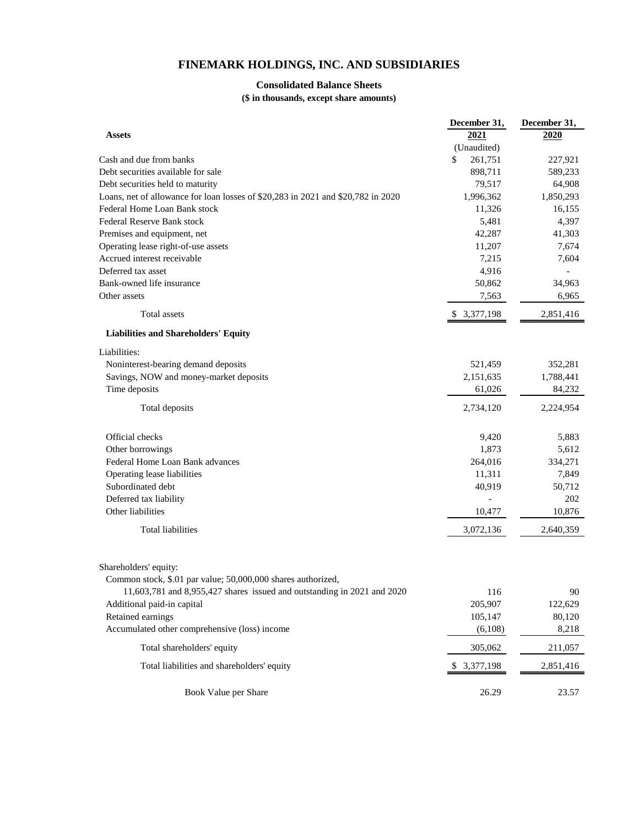## **FINEMARK HOLDINGS, INC. AND SUBSIDIARIES**

#### **Consolidated Balance Sheets**

**(\$ in thousands, except share amounts)**

|                                                                                  | December 31,  | December 31, |  |  |
|----------------------------------------------------------------------------------|---------------|--------------|--|--|
| <b>Assets</b>                                                                    | 2021          | 2020         |  |  |
|                                                                                  | (Unaudited)   |              |  |  |
| Cash and due from banks                                                          | \$<br>261,751 | 227,921      |  |  |
| Debt securities available for sale                                               | 898,711       | 589,233      |  |  |
| Debt securities held to maturity                                                 | 79,517        | 64,908       |  |  |
| Loans, net of allowance for loan losses of \$20,283 in 2021 and \$20,782 in 2020 | 1,996,362     | 1,850,293    |  |  |
| Federal Home Loan Bank stock                                                     | 11,326        | 16,155       |  |  |
| Federal Reserve Bank stock                                                       | 5,481         | 4,397        |  |  |
| Premises and equipment, net                                                      | 42,287        | 41,303       |  |  |
| Operating lease right-of-use assets                                              | 11,207        | 7,674        |  |  |
| Accrued interest receivable                                                      | 7,215         | 7,604        |  |  |
| Deferred tax asset                                                               | 4,916         |              |  |  |
| Bank-owned life insurance                                                        | 50,862        | 34,963       |  |  |
| Other assets                                                                     | 7,563         | 6,965        |  |  |
| Total assets                                                                     | \$3,377,198   | 2,851,416    |  |  |
| <b>Liabilities and Shareholders' Equity</b>                                      |               |              |  |  |
| Liabilities:                                                                     |               |              |  |  |
| Noninterest-bearing demand deposits                                              | 521,459       | 352,281      |  |  |
| Savings, NOW and money-market deposits                                           | 2,151,635     | 1,788,441    |  |  |
| Time deposits                                                                    | 61,026        | 84,232       |  |  |
|                                                                                  |               |              |  |  |
| Total deposits                                                                   | 2,734,120     | 2,224,954    |  |  |
| Official checks                                                                  | 9,420         | 5,883        |  |  |
| Other borrowings                                                                 | 1,873         | 5,612        |  |  |
| Federal Home Loan Bank advances                                                  | 264,016       | 334,271      |  |  |
| Operating lease liabilities                                                      | 11,311        | 7,849        |  |  |
| Subordinated debt                                                                | 40,919        | 50,712       |  |  |
| Deferred tax liability                                                           |               | 202          |  |  |
| Other liabilities                                                                | 10,477        | 10,876       |  |  |
| <b>Total liabilities</b>                                                         | 3,072,136     | 2,640,359    |  |  |
|                                                                                  |               |              |  |  |
| Shareholders' equity:                                                            |               |              |  |  |
| Common stock, \$.01 par value; 50,000,000 shares authorized,                     |               |              |  |  |
| 11,603,781 and 8,955,427 shares issued and outstanding in 2021 and 2020          | 116           | 90           |  |  |
| Additional paid-in capital                                                       | 205,907       | 122,629      |  |  |
| Retained earnings                                                                | 105,147       | 80,120       |  |  |
| Accumulated other comprehensive (loss) income                                    | (6,108)       | 8,218        |  |  |
| Total shareholders' equity                                                       | 305,062       | 211,057      |  |  |
| Total liabilities and shareholders' equity                                       | \$ 3,377,198  | 2,851,416    |  |  |
| Book Value per Share                                                             | 26.29         | 23.57        |  |  |
|                                                                                  |               |              |  |  |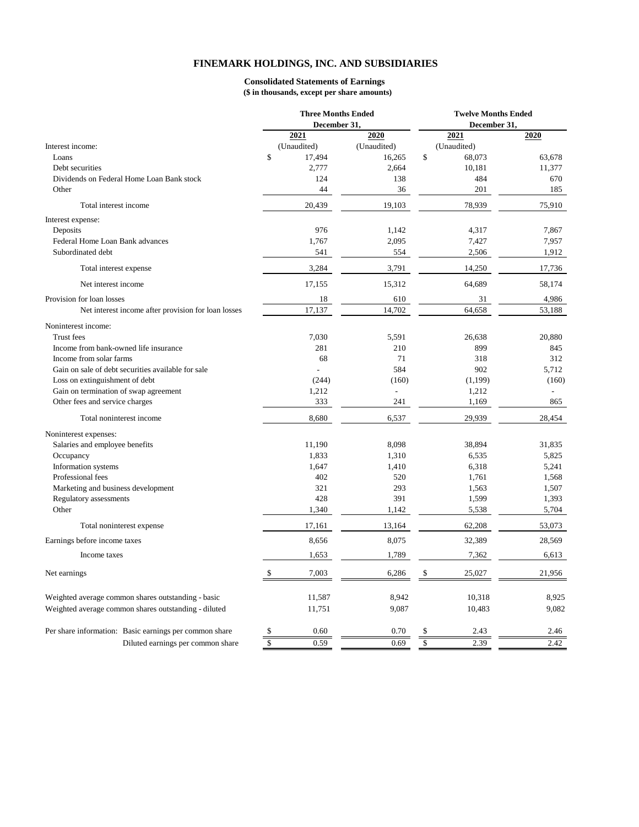#### **FINEMARK HOLDINGS, INC. AND SUBSIDIARIES**

#### **(\$ in thousands, except per share amounts) Consolidated Statements of Earnings**

|                                                        | <b>Three Months Ended</b> |                | <b>Twelve Months Ended</b> |        |  |  |  |  |  |
|--------------------------------------------------------|---------------------------|----------------|----------------------------|--------|--|--|--|--|--|
|                                                        | December 31,              |                | December 31,               |        |  |  |  |  |  |
|                                                        | 2021                      | 2020           | 2021                       | 2020   |  |  |  |  |  |
| Interest income:                                       | (Unaudited)               | (Unaudited)    | (Unaudited)                |        |  |  |  |  |  |
| Loans                                                  | $\mathbb{S}$<br>17,494    | 16,265         | \$<br>68,073               | 63,678 |  |  |  |  |  |
| Debt securities                                        | 2,777                     | 2,664          | 10,181                     | 11,377 |  |  |  |  |  |
| Dividends on Federal Home Loan Bank stock              | 124                       | 138            | 484                        | 670    |  |  |  |  |  |
| Other                                                  | 44                        | 36             | 201                        | 185    |  |  |  |  |  |
| Total interest income                                  | 20,439                    | 19,103         | 78,939                     | 75,910 |  |  |  |  |  |
| Interest expense:                                      |                           |                |                            |        |  |  |  |  |  |
| Deposits                                               | 976                       | 1,142          | 4,317                      | 7,867  |  |  |  |  |  |
| Federal Home Loan Bank advances                        | 1,767                     | 2,095          | 7,427                      | 7,957  |  |  |  |  |  |
| Subordinated debt                                      | 541                       | 554            | 2,506                      | 1,912  |  |  |  |  |  |
| Total interest expense                                 | 3,284                     | 3,791          | 14,250                     | 17,736 |  |  |  |  |  |
| Net interest income                                    | 17,155                    | 15,312         | 64,689                     | 58,174 |  |  |  |  |  |
| Provision for loan losses                              | 18                        | 610            | 31                         | 4,986  |  |  |  |  |  |
| Net interest income after provision for loan losses    | 17,137                    | 14,702         | 64,658                     | 53,188 |  |  |  |  |  |
| Noninterest income:                                    |                           |                |                            |        |  |  |  |  |  |
| <b>Trust</b> fees                                      | 7,030                     | 5,591          | 26,638                     | 20,880 |  |  |  |  |  |
| Income from bank-owned life insurance                  | 281                       | 210            | 899                        | 845    |  |  |  |  |  |
| Income from solar farms                                | 68                        | 71             | 318                        | 312    |  |  |  |  |  |
| Gain on sale of debt securities available for sale     |                           | 584            | 902                        | 5,712  |  |  |  |  |  |
| Loss on extinguishment of debt                         | (244)                     | (160)          | (1,199)                    | (160)  |  |  |  |  |  |
| Gain on termination of swap agreement                  | 1,212                     | $\overline{a}$ | 1,212                      |        |  |  |  |  |  |
| Other fees and service charges                         | 333                       | 241            | 1,169                      | 865    |  |  |  |  |  |
| Total noninterest income                               | 8,680                     | 6,537          | 29,939                     | 28,454 |  |  |  |  |  |
| Noninterest expenses:                                  |                           |                |                            |        |  |  |  |  |  |
| Salaries and employee benefits                         | 11,190                    | 8,098          | 38,894                     | 31,835 |  |  |  |  |  |
| Occupancy                                              | 1,833                     | 1,310          | 6,535                      | 5,825  |  |  |  |  |  |
| Information systems                                    | 1,647                     | 1,410          | 6,318                      | 5,241  |  |  |  |  |  |
| Professional fees                                      | 402                       | 520            | 1,761                      | 1,568  |  |  |  |  |  |
| Marketing and business development                     | 321                       | 293            | 1,563                      | 1,507  |  |  |  |  |  |
| Regulatory assessments                                 | 428                       | 391            | 1,599                      | 1,393  |  |  |  |  |  |
| Other                                                  | 1,340                     | 1,142          | 5,538                      | 5,704  |  |  |  |  |  |
| Total noninterest expense                              | 17,161                    | 13,164         | 62,208                     | 53,073 |  |  |  |  |  |
| Earnings before income taxes                           | 8,656                     | 8,075          | 32,389                     | 28,569 |  |  |  |  |  |
| Income taxes                                           | 1,653                     | 1,789          | 7,362                      | 6,613  |  |  |  |  |  |
| Net earnings                                           | \$<br>7,003               | 6,286          | \$<br>25,027               | 21,956 |  |  |  |  |  |
|                                                        |                           |                |                            |        |  |  |  |  |  |
| Weighted average common shares outstanding - basic     | 11,587                    | 8,942          | 10,318                     | 8,925  |  |  |  |  |  |
| Weighted average common shares outstanding - diluted   | 11,751                    | 9,087          | 10,483                     | 9,082  |  |  |  |  |  |
| Per share information: Basic earnings per common share | \$<br>0.60                | 0.70           | \$<br>2.43                 | 2.46   |  |  |  |  |  |
| Diluted earnings per common share                      | $\mathbf S$<br>0.59       | 0.69           | \$<br>2.39                 | 2.42   |  |  |  |  |  |